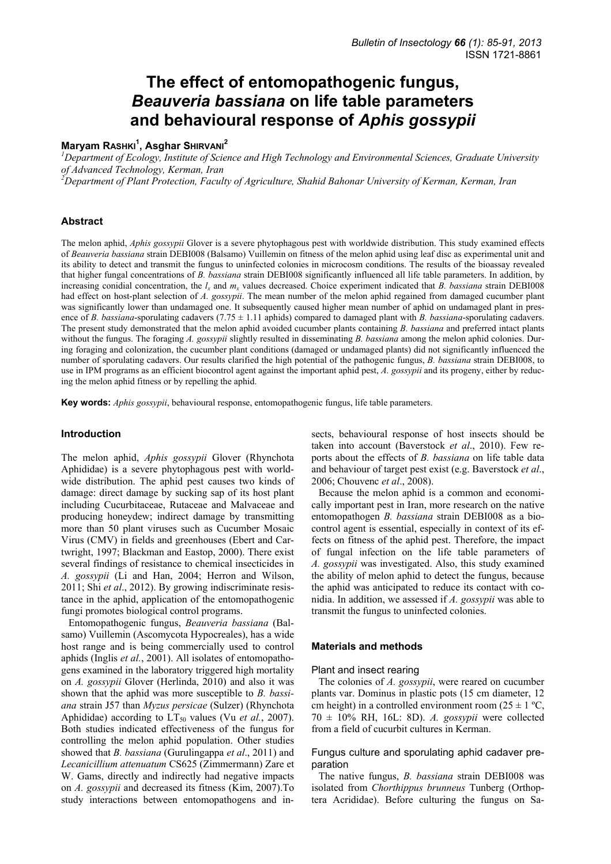# **The effect of entomopathogenic fungus,**  *Beauveria bassiana* **on life table parameters and behavioural response of** *Aphis gossypii*

# **Maryam RASHKI<sup>1</sup> , Asghar SHIRVANI<sup>2</sup>**

*1 Department of Ecology, Institute of Science and High Technology and Environmental Sciences, Graduate University of Advanced Technology, Kerman, Iran* 

*2 Department of Plant Protection, Faculty of Agriculture, Shahid Bahonar University of Kerman, Kerman, Iran* 

# **Abstract**

The melon aphid, *Aphis gossypii* Glover is a severe phytophagous pest with worldwide distribution. This study examined effects of *Beauveria bassiana* strain DEBI008 (Balsamo) Vuillemin on fitness of the melon aphid using leaf disc as experimental unit and its ability to detect and transmit the fungus to uninfected colonies in microcosm conditions. The results of the bioassay revealed that higher fungal concentrations of *B. bassiana* strain DEBI008 significantly influenced all life table parameters. In addition, by increasing conidial concentration, the  $l_x$  and  $m_x$  values decreased. Choice experiment indicated that  $\overline{B}$ . bassiana strain DEBI008 had effect on host-plant selection of *A. gossypii*. The mean number of the melon aphid regained from damaged cucumber plant was significantly lower than undamaged one. It subsequently caused higher mean number of aphid on undamaged plant in presence of *B. bassiana*-sporulating cadavers  $(7.75 \pm 1.11$  aphids) compared to damaged plant with *B. bassiana*-sporulating cadavers. The present study demonstrated that the melon aphid avoided cucumber plants containing *B. bassiana* and preferred intact plants without the fungus. The foraging *A. gossypii* slightly resulted in disseminating *B. bassiana* among the melon aphid colonies. During foraging and colonization, the cucumber plant conditions (damaged or undamaged plants) did not significantly influenced the number of sporulating cadavers. Our results clarified the high potential of the pathogenic fungus, *B. bassiana* strain DEBI008, to use in IPM programs as an efficient biocontrol agent against the important aphid pest, *A. gossypii* and its progeny, either by reducing the melon aphid fitness or by repelling the aphid.

**Key words:** *Aphis gossypii*, behavioural response, entomopathogenic fungus, life table parameters.

#### **Introduction**

The melon aphid, *Aphis gossypii* Glover (Rhynchota Aphididae) is a severe phytophagous pest with worldwide distribution. The aphid pest causes two kinds of damage: direct damage by sucking sap of its host plant including Cucurbitaceae, Rutaceae and Malvaceae and producing honeydew; indirect damage by transmitting more than 50 plant viruses such as Cucumber Mosaic Virus (CMV) in fields and greenhouses (Ebert and Cartwright, 1997; Blackman and Eastop, 2000). There exist several findings of resistance to chemical insecticides in *A. gossypii* (Li and Han, 2004; Herron and Wilson, 2011; Shi *et al*., 2012). By growing indiscriminate resistance in the aphid, application of the entomopathogenic fungi promotes biological control programs.

Entomopathogenic fungus, *Beauveria bassiana* (Balsamo) Vuillemin (Ascomycota Hypocreales), has a wide host range and is being commercially used to control aphids (Inglis *et al.*, 2001). All isolates of entomopathogens examined in the laboratory triggered high mortality on *A. gossypii* Glover (Herlinda, 2010) and also it was shown that the aphid was more susceptible to *B. bassiana* strain J57 than *Myzus persicae* (Sulzer) (Rhynchota Aphididae) according to  $LT_{50}$  values (Vu *et al.*, 2007). Both studies indicated effectiveness of the fungus for controlling the melon aphid population. Other studies showed that *B. bassiana* (Gurulingappa *et al*., 2011) and *Lecanicillium attenuatum* CS625 (Zimmermann) Zare et W. Gams, directly and indirectly had negative impacts on *A. gossypii* and decreased its fitness (Kim, 2007).To study interactions between entomopathogens and insects, behavioural response of host insects should be taken into account (Baverstock *et al*., 2010). Few reports about the effects of *B. bassiana* on life table data and behaviour of target pest exist (e.g. Baverstock *et al*., 2006; Chouvenc *et al*., 2008).

Because the melon aphid is a common and economically important pest in Iran, more research on the native entomopathogen *B. bassiana* strain DEBI008 as a biocontrol agent is essential, especially in context of its effects on fitness of the aphid pest. Therefore, the impact of fungal infection on the life table parameters of *A. gossypii* was investigated. Also, this study examined the ability of melon aphid to detect the fungus, because the aphid was anticipated to reduce its contact with conidia. In addition, we assessed if *A. gossypii* was able to transmit the fungus to uninfected colonies.

#### **Materials and methods**

#### Plant and insect rearing

The colonies of *A. gossypii*, were reared on cucumber plants var. Dominus in plastic pots (15 cm diameter, 12 cm height) in a controlled environment room  $(25 \pm 1 \degree C,$ 70 ± 10% RH, 16L: 8D). *A. gossypii* were collected from a field of cucurbit cultures in Kerman.

#### Fungus culture and sporulating aphid cadaver preparation

The native fungus, *B. bassiana* strain DEBI008 was isolated from *Chorthippus brunneus* Tunberg (Orthoptera Acrididae). Before culturing the fungus on Sa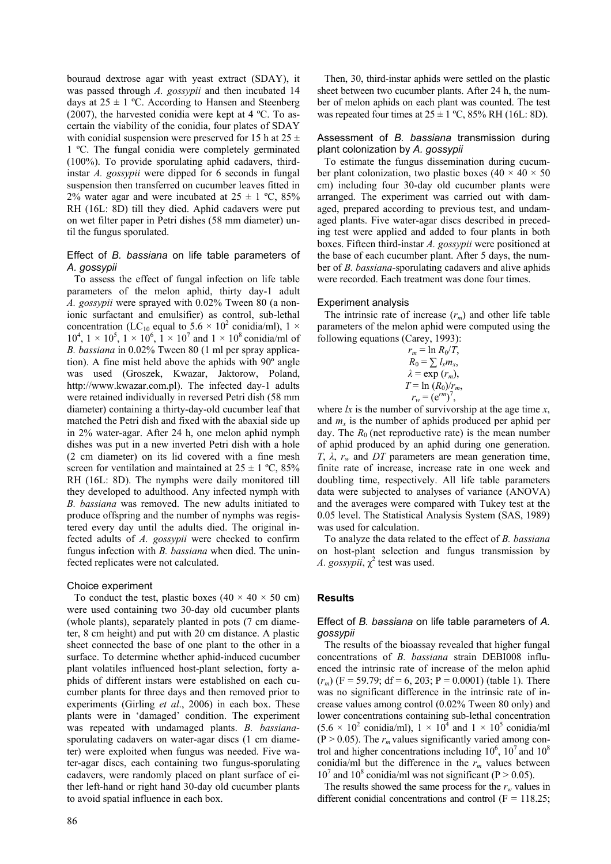bouraud dextrose agar with yeast extract (SDAY), it was passed through *A. gossypii* and then incubated 14 days at  $25 \pm 1$  °C. According to Hansen and Steenberg (2007), the harvested conidia were kept at  $4 \text{ }^{\circ}C$ . To ascertain the viability of the conidia, four plates of SDAY with conidial suspension were preserved for 15 h at  $25 \pm$ 1 ºC. The fungal conidia were completely germinated (100%). To provide sporulating aphid cadavers, thirdinstar *A. gossypii* were dipped for 6 seconds in fungal suspension then transferred on cucumber leaves fitted in 2% water agar and were incubated at  $25 \pm 1$  °C, 85% RH (16L: 8D) till they died. Aphid cadavers were put on wet filter paper in Petri dishes (58 mm diameter) until the fungus sporulated.

### Effect of *B. bassiana* on life table parameters of *A. gossypii*

To assess the effect of fungal infection on life table parameters of the melon aphid, thirty day-1 adult *A. gossypii* were sprayed with 0.02% Tween 80 (a nonionic surfactant and emulsifier) as control, sub-lethal concentration (LC<sub>10</sub> equal to 5.6  $\times$  10<sup>2</sup> conidia/ml), 1  $\times$  $10^4$ ,  $1 \times 10^5$ ,  $1 \times 10^6$ ,  $1 \times 10^7$  and  $1 \times 10^8$  conidia/ml of *B. bassiana* in 0.02% Tween 80 (1 ml per spray application). A fine mist held above the aphids with 90º angle was used (Groszek, Kwazar, Jaktorow, Poland, http://www.kwazar.com.pl). The infected day-1 adults were retained individually in reversed Petri dish (58 mm diameter) containing a thirty-day-old cucumber leaf that matched the Petri dish and fixed with the abaxial side up in 2% water-agar. After 24 h, one melon aphid nymph dishes was put in a new inverted Petri dish with a hole (2 cm diameter) on its lid covered with a fine mesh screen for ventilation and maintained at  $25 \pm 1$  °C,  $85\%$ RH (16L: 8D). The nymphs were daily monitored till they developed to adulthood. Any infected nymph with *B. bassiana* was removed. The new adults initiated to produce offspring and the number of nymphs was registered every day until the adults died. The original infected adults of *A. gossypii* were checked to confirm fungus infection with *B. bassiana* when died. The uninfected replicates were not calculated.

#### Choice experiment

To conduct the test, plastic boxes  $(40 \times 40 \times 50 \text{ cm})$ were used containing two 30-day old cucumber plants (whole plants), separately planted in pots (7 cm diameter, 8 cm height) and put with 20 cm distance. A plastic sheet connected the base of one plant to the other in a surface. To determine whether aphid-induced cucumber plant volatiles influenced host-plant selection, forty aphids of different instars were established on each cucumber plants for three days and then removed prior to experiments (Girling *et al*., 2006) in each box. These plants were in 'damaged' condition. The experiment was repeated with undamaged plants. *B. bassiana*sporulating cadavers on water-agar discs (1 cm diameter) were exploited when fungus was needed. Five water-agar discs, each containing two fungus-sporulating cadavers, were randomly placed on plant surface of either left-hand or right hand 30-day old cucumber plants to avoid spatial influence in each box.

Then, 30, third-instar aphids were settled on the plastic sheet between two cucumber plants. After 24 h, the number of melon aphids on each plant was counted. The test was repeated four times at  $25 \pm 1$  °C, 85% RH (16L: 8D).

#### Assessment of *B. bassiana* transmission during plant colonization by *A. gossypii*

To estimate the fungus dissemination during cucumber plant colonization, two plastic boxes (40  $\times$  40  $\times$  50 cm) including four 30-day old cucumber plants were arranged. The experiment was carried out with damaged, prepared according to previous test, and undamaged plants. Five water-agar discs described in preceding test were applied and added to four plants in both boxes. Fifteen third-instar *A. gossypii* were positioned at the base of each cucumber plant. After 5 days, the number of *B. bassiana*-sporulating cadavers and alive aphids were recorded. Each treatment was done four times.

#### Experiment analysis

The intrinsic rate of increase  $(r_m)$  and other life table parameters of the melon aphid were computed using the following equations (Carey, 1993):

$$
r_m = \ln R_0/T,
$$
  
\n
$$
R_0 = \sum l_x m_x,
$$
  
\n
$$
\lambda = \exp (r_m),
$$
  
\n
$$
T = \ln (R_0)/r_m,
$$
  
\n
$$
r_w = (e^{rm})^7,
$$

where *lx* is the number of survivorship at the age time *x*, and  $m<sub>x</sub>$  is the number of aphids produced per aphid per day. The  $R_0$  (net reproductive rate) is the mean number of aphid produced by an aphid during one generation. *T*,  $λ$ ,  $r_w$  and *DT* parameters are mean generation time, finite rate of increase, increase rate in one week and doubling time, respectively. All life table parameters data were subjected to analyses of variance (ANOVA) and the averages were compared with Tukey test at the 0.05 level. The Statistical Analysis System (SAS, 1989) was used for calculation.

To analyze the data related to the effect of *B. bassiana* on host-plant selection and fungus transmission by *A. gossypii*,  $\chi^2$  test was used.

#### **Results**

#### Effect of *B. bassiana* on life table parameters of *A. gossypii*

The results of the bioassay revealed that higher fungal concentrations of *B. bassiana* strain DEBI008 influenced the intrinsic rate of increase of the melon aphid  $(r_m)$  (F = 59.79; df = 6, 203; P = 0.0001) (table 1). There was no significant difference in the intrinsic rate of increase values among control (0.02% Tween 80 only) and lower concentrations containing sub-lethal concentration  $(5.6 \times 10^2 \text{ conidian/ml})$ ,  $1 \times 10^4$  and  $1 \times 10^5 \text{ conidia/ml}$  $(P > 0.05)$ . The  $r_m$  values significantly varied among control and higher concentrations including  $10^6$ ,  $10^7$  and  $10^8$ conidia/ml but the difference in the  $r_m$  values between  $10^7$  and  $10^8$  conidia/ml was not significant (P > 0.05).

The results showed the same process for the  $r_w$  values in different conidial concentrations and control  $(F = 118.25)$ ;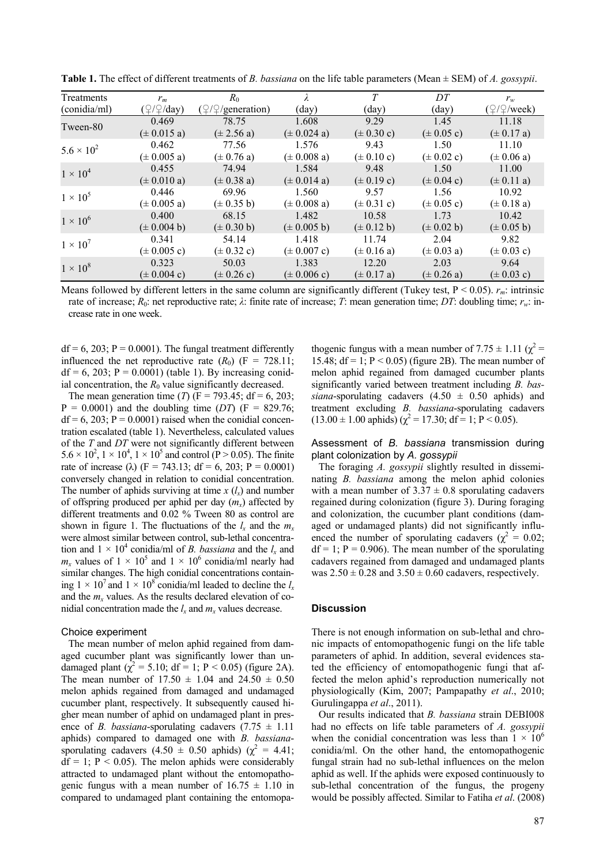| Treatments          | $r_m$                     | $R_0$                             |                         | T                      | DT                     | $r_{w}$                           |
|---------------------|---------------------------|-----------------------------------|-------------------------|------------------------|------------------------|-----------------------------------|
| (conidia/ml)        | $(\sqrt{2}/\sqrt{2}/day)$ | $(\sqrt{2}/\sqrt{2})$ generation) | $\text{(day)}$          | $\text{(day)}$         | $\text{(day)}$         | $(\sqrt{2}/\sqrt{2}/\text{week})$ |
| Tween-80            | 0.469                     | 78.75                             | 1.608                   | 9.29                   | 1.45                   | 11.18                             |
|                     | $(\pm 0.015 a)$           | $(\pm 2.56 a)$                    | $(\pm 0.024 a)$         | $(\pm 0.30 \text{ c})$ | $(\pm 0.05 \text{ c})$ | $(\pm 0.17 a)$                    |
| $5.6 \times 10^{2}$ | 0.462                     | 77.56                             | 1.576                   | 9.43                   | 1.50                   | 11.10                             |
|                     | $(\pm 0.005 a)$           | $(\pm 0.76 a)$                    | $(\pm 0.008 a)$         | $(\pm 0.10 \text{ c})$ | $(\pm 0.02 \text{ c})$ | $(\pm 0.06 a)$                    |
| $1 \times 10^4$     | 0.455                     | 74.94                             | 1.584                   | 9.48                   | 1.50                   | 11.00                             |
|                     | $(\pm 0.010 a)$           | $(\pm 0.38 a)$                    | $(\pm 0.014 a)$         | $(\pm 0.19 c)$         | $(\pm 0.04 \text{ c})$ | $(\pm 0.11 a)$                    |
| $1 \times 10^5$     | 0.446                     | 69.96                             | 1.560                   | 9.57                   | 1.56                   | 10.92                             |
|                     | $(\pm 0.005 a)$           | $(\pm 0.35 b)$                    | $(\pm 0.008 a)$         | $(\pm 0.31 c)$         | $(\pm 0.05 \text{ c})$ | $(\pm 0.18 a)$                    |
| $1 \times 10^6$     | 0.400                     | 68.15                             | 1.482                   | 10.58                  | 1.73                   | 10.42                             |
|                     | $(\pm 0.004 b)$           | $(\pm 0.30 b)$                    | $(\pm 0.005 b)$         | $(\pm 0.12 b)$         | $(\pm 0.02 b)$         | $(\pm 0.05 b)$                    |
| $1 \times 10^7$     | 0.341                     | 54.14                             | 1.418                   | 11.74                  | 2.04                   | 9.82                              |
|                     | $(\pm 0.005 \text{ c})$   | $(\pm 0.32 \text{ c})$            | $(\pm 0.007 \text{ c})$ | $(\pm 0.16 a)$         | $(\pm 0.03 a)$         | $(\pm 0.03 \text{ c})$            |
| $1 \times 10^8$     | 0.323                     | 50.03                             | 1.383                   | 12.20                  | 2.03                   | 9.64                              |
|                     | $(\pm 0.004 \text{ c})$   | $(\pm 0.26 \text{ c})$            | $(\pm 0.006 \text{ c})$ | $(\pm 0.17 a)$         | $(\pm 0.26 a)$         | $(\pm 0.03 \text{ c})$            |

**Table 1.** The effect of different treatments of *B. bassiana* on the life table parameters (Mean ± SEM) of *A. gossypii*.

Means followed by different letters in the same column are significantly different (Tukey test, P < 0.05). *rm*: intrinsic rate of increase; *R*0: net reproductive rate; *λ*: finite rate of increase; *T*: mean generation time; *DT*: doubling time; *rw*: increase rate in one week.

 $df = 6$ , 203; P = 0.0001). The fungal treatment differently influenced the net reproductive rate  $(R_0)$  (F = 728.11;  $df = 6, 203$ ;  $P = 0.0001$ ) (table 1). By increasing conidial concentration, the  $R_0$  value significantly decreased.

The mean generation time (*T*) ( $F = 793.45$ ; d $f = 6, 203$ ;  $P = 0.0001$ ) and the doubling time (*DT*) ( $F = 829.76$ ;  $df = 6$ , 203; P = 0.0001) raised when the conidial concentration escalated (table 1). Nevertheless, calculated values of the *T* and *DT* were not significantly different between  $5.6 \times 10^2$ ,  $1 \times 10^4$ ,  $1 \times 10^5$  and control (P > 0.05). The finite rate of increase ( $\lambda$ ) (F = 743.13; df = 6, 203; P = 0.0001) conversely changed in relation to conidial concentration. The number of aphids surviving at time  $x$  ( $l_x$ ) and number of offspring produced per aphid per day  $(m<sub>x</sub>)$  affected by different treatments and 0.02 % Tween 80 as control are shown in figure 1. The fluctuations of the  $l_x$  and the  $m_x$ were almost similar between control, sub-lethal concentration and  $1 \times 10^4$  conidia/ml of *B. bassiana* and the  $l_x$  and  $m_x$  values of  $1 \times 10^5$  and  $1 \times 10^6$  conidia/ml nearly had similar changes. The high conidial concentrations containing  $1 \times 10^7$  and  $1 \times 10^8$  conidia/ml leaded to decline the  $l_x$ and the  $m<sub>x</sub>$  values. As the results declared elevation of conidial concentration made the  $l_x$  and  $m_x$  values decrease.

#### Choice experiment

The mean number of melon aphid regained from damaged cucumber plant was significantly lower than undamaged plant ( $\chi^2$  = 5.10; df = 1; P < 0.05) (figure 2A). The mean number of  $17.50 \pm 1.04$  and  $24.50 \pm 0.50$ melon aphids regained from damaged and undamaged cucumber plant, respectively. It subsequently caused higher mean number of aphid on undamaged plant in presence of *B. bassiana*-sporulating cadavers  $(7.75 \pm 1.11)$ aphids) compared to damaged one with *B. bassiana*sporulating cadavers  $(4.50 \pm 0.50 \text{ aphids})$  ( $\chi^2 = 4.41$ ;  $df = 1$ ;  $P < 0.05$ ). The melon aphids were considerably attracted to undamaged plant without the entomopathogenic fungus with a mean number of  $16.75 \pm 1.10$  in compared to undamaged plant containing the entomopa-

thogenic fungus with a mean number of  $7.75 \pm 1.11$  ( $\chi^2$  = 15.48;  $df = 1$ ;  $P < 0.05$ ) (figure 2B). The mean number of melon aphid regained from damaged cucumber plants significantly varied between treatment including *B. bassiana*-sporulating cadavers  $(4.50 \pm 0.50 \text{ aphids})$  and treatment excluding *B. bassiana*-sporulating cadavers  $(13.00 \pm 1.00 \text{ aphids}) (\chi^2 = 17.30; \text{ df} = 1; P < 0.05).$ 

Assessment of *B. bassiana* transmission during plant colonization by *A. gossypii* 

The foraging *A. gossypii* slightly resulted in disseminating *B. bassiana* among the melon aphid colonies with a mean number of  $3.37 \pm 0.8$  sporulating cadavers regained during colonization (figure 3). During foraging and colonization, the cucumber plant conditions (damaged or undamaged plants) did not significantly influenced the number of sporulating cadavers ( $\chi^2 = 0.02$ ;  $df = 1$ ;  $P = 0.906$ ). The mean number of the sporulating cadavers regained from damaged and undamaged plants was  $2.50 \pm 0.28$  and  $3.50 \pm 0.60$  cadavers, respectively.

#### **Discussion**

There is not enough information on sub-lethal and chronic impacts of entomopathogenic fungi on the life table parameters of aphid. In addition, several evidences stated the efficiency of entomopathogenic fungi that affected the melon aphid's reproduction numerically not physiologically (Kim, 2007; Pampapathy *et al*., 2010; Gurulingappa *et al*., 2011).

Our results indicated that *B. bassiana* strain DEBI008 had no effects on life table parameters of *A. gossypii* when the conidial concentration was less than  $1 \times 10^6$ conidia/ml. On the other hand, the entomopathogenic fungal strain had no sub-lethal influences on the melon aphid as well. If the aphids were exposed continuously to sub-lethal concentration of the fungus, the progeny would be possibly affected. Similar to Fatiha *et al*. (2008)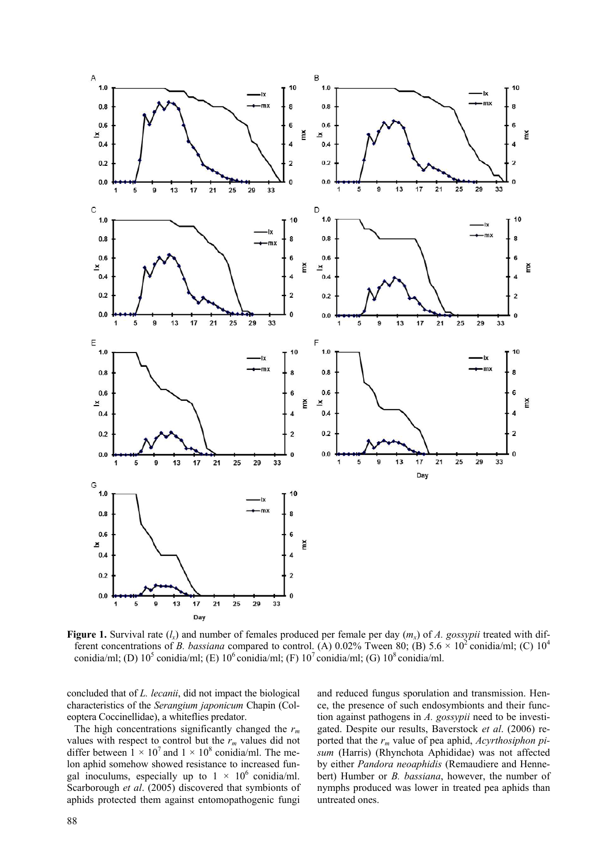

**Figure 1.** Survival rate  $(l_x)$  and number of females produced per female per day  $(m_x)$  of A. gossypii treated with different concentrations of *B. bassiana* compared to control. (A) 0.02% Tween 80; (B) 5.6  $\times$  10<sup>2</sup> conidia/ml; (C) 10<sup>4</sup> conidia/ml; (D)  $10^5$  conidia/ml; (E)  $10^6$  conidia/ml; (F)  $10^7$  conidia/ml; (G)  $10^8$  conidia/ml.

concluded that of *L. lecanii*, did not impact the biological characteristics of the *Serangium japonicum* Chapin (Coleoptera Coccinellidae), a whiteflies predator.

The high concentrations significantly changed the *rm* values with respect to control but the  $r_m$  values did not differ between  $1 \times 10^7$  and  $1 \times 10^8$  conidia/ml. The melon aphid somehow showed resistance to increased fungal inoculums, especially up to  $1 \times 10^6$  conidia/ml. Scarborough *et al*. (2005) discovered that symbionts of aphids protected them against entomopathogenic fungi and reduced fungus sporulation and transmission. Hence, the presence of such endosymbionts and their function against pathogens in *A. gossypii* need to be investigated. Despite our results, Baverstock *et al*. (2006) reported that the *rm* value of pea aphid, *Acyrthosiphon pisum* (Harris) (Rhynchota Aphididae) was not affected by either *Pandora neoaphidis* (Remaudiere and Hennebert) Humber or *B. bassiana*, however, the number of nymphs produced was lower in treated pea aphids than untreated ones.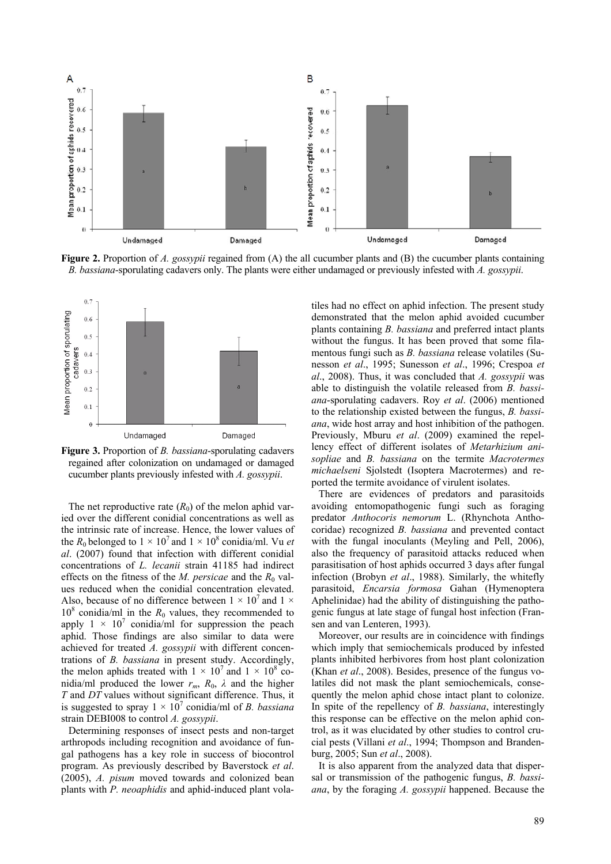

**Figure 2.** Proportion of *A. gossypii* regained from (A) the all cucumber plants and (B) the cucumber plants containing *B. bassiana*-sporulating cadavers only. The plants were either undamaged or previously infested with *A. gossypii*.



**Figure 3.** Proportion of *B. bassiana*-sporulating cadavers regained after colonization on undamaged or damaged cucumber plants previously infested with *A. gossypii*.

The net reproductive rate  $(R_0)$  of the melon aphid varied over the different conidial concentrations as well as the intrinsic rate of increase. Hence, the lower values of the  $R_0$  belonged to  $1 \times 10^7$  and  $1 \times 10^8$  conidia/ml. Vu *et al*. (2007) found that infection with different conidial concentrations of *L. lecanii* strain 41185 had indirect effects on the fitness of the *M. persicae* and the  $R_0$  values reduced when the conidial concentration elevated. Also, because of no difference between  $1 \times 10^7$  and  $1 \times$  $10^8$  conidia/ml in the  $R_0$  values, they recommended to apply  $1 \times 10^7$  conidia/ml for suppression the peach aphid. Those findings are also similar to data were achieved for treated *A. gossypii* with different concentrations of *B. bassiana* in present study. Accordingly, the melon aphids treated with  $1 \times 10^7$  and  $1 \times 10^8$  conidia/ml produced the lower  $r_m$ ,  $R_0$ ,  $\lambda$  and the higher *T* and *DT* values without significant difference. Thus, it is suggested to spray  $1 \times 10^7$  conidia/ml of *B. bassiana* strain DEBI008 to control *A. gossypii*.

Determining responses of insect pests and non-target arthropods including recognition and avoidance of fungal pathogens has a key role in success of biocontrol program. As previously described by Baverstock *et al*. (2005), *A. pisum* moved towards and colonized bean plants with *P. neoaphidis* and aphid-induced plant vola-

tiles had no effect on aphid infection. The present study demonstrated that the melon aphid avoided cucumber plants containing *B. bassiana* and preferred intact plants without the fungus. It has been proved that some filamentous fungi such as *B. bassiana* release volatiles (Sunesson *et al*., 1995; Sunesson *et al*., 1996; Crespoa *et al*., 2008). Thus, it was concluded that *A. gossypii* was able to distinguish the volatile released from *B. bassiana*-sporulating cadavers. Roy *et al*. (2006) mentioned to the relationship existed between the fungus, *B. bassiana*, wide host array and host inhibition of the pathogen. Previously, Mburu *et al*. (2009) examined the repellency effect of different isolates of *Metarhizium anisopliae* and *B. bassiana* on the termite *Macrotermes michaelseni* Sjolstedt (Isoptera Macrotermes) and reported the termite avoidance of virulent isolates.

There are evidences of predators and parasitoids avoiding entomopathogenic fungi such as foraging predator *Anthocoris nemorum* L. (Rhynchota Anthocoridae) recognized *B. bassiana* and prevented contact with the fungal inoculants (Meyling and Pell, 2006), also the frequency of parasitoid attacks reduced when parasitisation of host aphids occurred 3 days after fungal infection (Brobyn *et al*., 1988). Similarly, the whitefly parasitoid, *Encarsia formosa* Gahan (Hymenoptera Aphelinidae) had the ability of distinguishing the pathogenic fungus at late stage of fungal host infection (Fransen and van Lenteren, 1993).

Moreover, our results are in coincidence with findings which imply that semiochemicals produced by infested plants inhibited herbivores from host plant colonization (Khan *et al*., 2008). Besides, presence of the fungus volatiles did not mask the plant semiochemicals, consequently the melon aphid chose intact plant to colonize. In spite of the repellency of *B. bassiana*, interestingly this response can be effective on the melon aphid control, as it was elucidated by other studies to control crucial pests (Villani *et al*., 1994; Thompson and Brandenburg, 2005; Sun *et al*., 2008).

It is also apparent from the analyzed data that dispersal or transmission of the pathogenic fungus, *B. bassiana*, by the foraging *A. gossypii* happened. Because the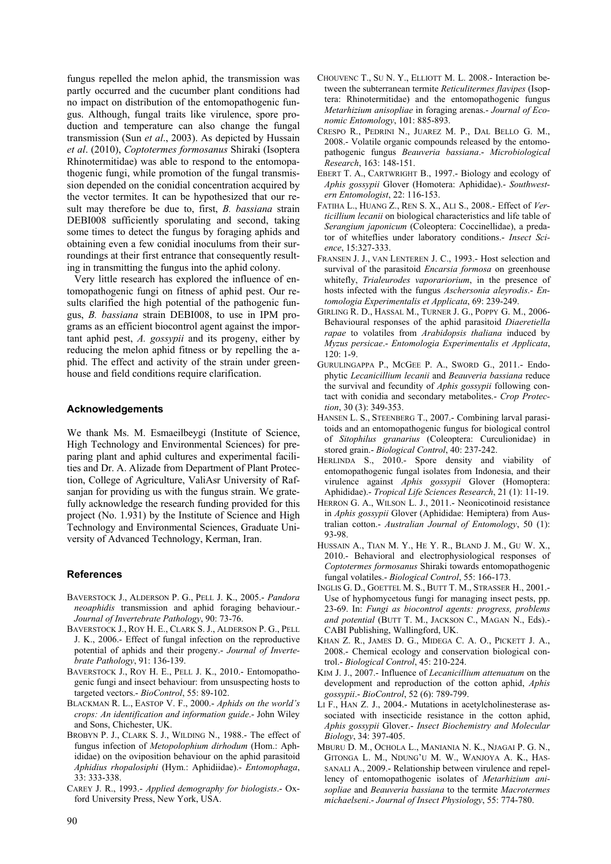fungus repelled the melon aphid, the transmission was partly occurred and the cucumber plant conditions had no impact on distribution of the entomopathogenic fungus. Although, fungal traits like virulence, spore production and temperature can also change the fungal transmission (Sun *et al*., 2003). As depicted by Hussain *et al*. (2010), *Coptotermes formosanus* Shiraki (Isoptera Rhinotermitidae) was able to respond to the entomopathogenic fungi, while promotion of the fungal transmission depended on the conidial concentration acquired by the vector termites. It can be hypothesized that our result may therefore be due to, first, *B. bassiana* strain DEBI008 sufficiently sporulating and second, taking some times to detect the fungus by foraging aphids and obtaining even a few conidial inoculums from their surroundings at their first entrance that consequently resulting in transmitting the fungus into the aphid colony.

Very little research has explored the influence of entomopathogenic fungi on fitness of aphid pest. Our results clarified the high potential of the pathogenic fungus, *B. bassiana* strain DEBI008, to use in IPM programs as an efficient biocontrol agent against the important aphid pest, *A. gossypii* and its progeny, either by reducing the melon aphid fitness or by repelling the aphid. The effect and activity of the strain under greenhouse and field conditions require clarification.

#### **Acknowledgements**

We thank Ms. M. Esmaeilbeygi (Institute of Science, High Technology and Environmental Sciences) for preparing plant and aphid cultures and experimental facilities and Dr. A. Alizade from Department of Plant Protection, College of Agriculture, ValiAsr University of Rafsanjan for providing us with the fungus strain. We gratefully acknowledge the research funding provided for this project (No. 1.931) by the Institute of Science and High Technology and Environmental Sciences, Graduate University of Advanced Technology, Kerman, Iran.

# **References**

- BAVERSTOCK J., ALDERSON P. G., PELL J. K., 2005.- *Pandora neoaphidis* transmission and aphid foraging behaviour.- *Journal of Invertebrate Pathology*, 90: 73-76.
- BAVERSTOCK J., ROY H. E., CLARK S. J., ALDERSON P. G., PELL J. K., 2006.- Effect of fungal infection on the reproductive potential of aphids and their progeny.- *Journal of Invertebrate Pathology*, 91: 136-139.
- BAVERSTOCK J., ROY H. E., PELL J. K., 2010.- Entomopathogenic fungi and insect behaviour: from unsuspecting hosts to targeted vectors.- *BioControl*, 55: 89-102.
- BLACKMAN R. L., EASTOP V. F., 2000.- *Aphids on the world's crops: An identification and information guide*.- John Wiley and Sons, Chichester, UK.
- BROBYN P. J., CLARK S. J., WILDING N., 1988.- The effect of fungus infection of *Metopolophium dirhodum* (Hom.: Aphididae) on the oviposition behaviour on the aphid parasitoid *Aphidius rhopalosiphi* (Hym.: Aphidiidae).- *Entomophaga*, 33: 333-338.
- CAREY J. R., 1993.- *Applied demography for biologists*.- Oxford University Press, New York, USA.
- CHOUVENC T., SU N. Y., ELLIOTT M. L. 2008.- Interaction between the subterranean termite *Reticulitermes flavipes* (Isoptera: Rhinotermitidae) and the entomopathogenic fungus *Metarhizium anisopliae* in foraging arenas.- *Journal of Economic Entomology*, 101: 885-893.
- CRESPO R., PEDRINI N., JUAREZ M. P., DAL BELLO G. M., 2008.- Volatile organic compounds released by the entomopathogenic fungus *Beauveria bassiana*.- *Microbiological Research*, 163: 148-151.
- EBERT T. A., CARTWRIGHT B., 1997.- Biology and ecology of *Aphis gossypii* Glover (Homotera: Aphididae).- *Southwestern Entomologist*, 22: 116-153.
- FATIHA L., HUANG Z., REN S. X., ALI S., 2008.- Effect of *Verticillium lecanii* on biological characteristics and life table of *Serangium japonicum* (Coleoptera: Coccinellidae), a predator of whiteflies under laboratory conditions.- *Insect Science*, 15:327-333.
- FRANSEN J. J., VAN LENTEREN J. C., 1993.- Host selection and survival of the parasitoid *Encarsia formosa* on greenhouse whitefly, *Trialeurodes vaporariorium*, in the presence of hosts infected with the fungus *Aschersonia aleyrodis*.- *Entomologia Experimentalis et Applicata*, 69: 239-249.
- GIRLING R. D., HASSAL M., TURNER J. G., POPPY G. M., 2006- Behavioural responses of the aphid parasitoid *Diaeretiella rapae* to volatiles from *Arabidopsis thaliana* induced by *Myzus persicae*.- *Entomologia Experimentalis et Applicata*, 120: 1-9.
- GURULINGAPPA P., MCGEE P. A., SWORD G., 2011.- Endophytic *Lecanicillium lecanii* and *Beauveria bassiana* reduce the survival and fecundity of *Aphis gossypii* following contact with conidia and secondary metabolites.- *Crop Protection*, 30 (3): 349-353.
- HANSEN L. S., STEENBERG T., 2007.- Combining larval parasitoids and an entomopathogenic fungus for biological control of *Sitophilus granarius* (Coleoptera: Curculionidae) in stored grain.- *Biological Control*, 40: 237-242.
- HERLINDA S., 2010.- Spore density and viability of entomopathogenic fungal isolates from Indonesia, and their virulence against *Aphis gossypii* Glover (Homoptera: Aphididae).- *Tropical Life Sciences Research*, 21 (1): 11-19.
- HERRON G. A., WILSON L. J., 2011.- Neonicotinoid resistance in *Aphis gossypii* Glover (Aphididae: Hemiptera) from Australian cotton.- *Australian Journal of Entomology*, 50 (1): 93-98.
- HUSSAIN A., TIAN M. Y., HE Y. R., BLAND J. M., GU W. X., 2010.- Behavioral and electrophysiological responses of *Coptotermes formosanus* Shiraki towards entomopathogenic fungal volatiles.- *Biological Control*, 55: 166-173.
- INGLIS G. D., GOETTEL M. S., BUTT T. M., STRASSER H., 2001.- Use of hyphomycetous fungi for managing insect pests, pp. 23-69. In: *Fungi as biocontrol agents: progress, problems and potential* (BUTT T. M., JACKSON C., MAGAN N., Eds).- CABI Publishing, Wallingford, UK.
- KHAN Z. R., JAMES D. G., MIDEGA C. A. O., PICKETT J. A., 2008.- Chemical ecology and conservation biological control.- *Biological Control*, 45: 210-224.
- KIM J. J., 2007.- Influence of *Lecanicillium attenuatum* on the development and reproduction of the cotton aphid, *Aphis gossypii*.- *BioControl*, 52 (6): 789-799.
- LI F., HAN Z. J., 2004.- Mutations in acetylcholinesterase associated with insecticide resistance in the cotton aphid, *Aphis gossypii* Glover.- *Insect Biochemistry and Molecular Biology*, 34: 397-405.
- MBURU D. M., OCHOLA L., MANIANIA N. K., NJAGAI P. G. N., GITONGA L. M., NDUNG'U M. W., WANJOYA A. K., HAS-SANALI A., 2009.- Relationship between virulence and repellency of entomopathogenic isolates of *Metarhizium anisopliae* and *Beauveria bassiana* to the termite *Macrotermes michaelseni*.- *Journal of Insect Physiology*, 55: 774-780.